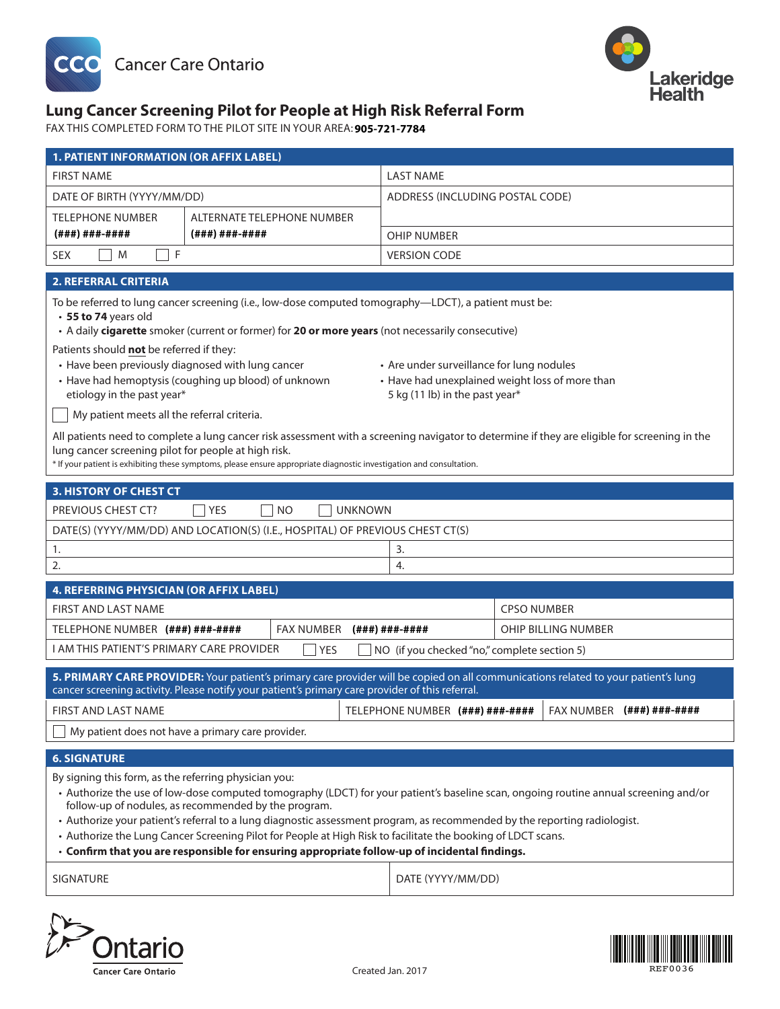



# **Fax this completed form to the pilot site in your area: insert contact information. Lung Cancer Screening Pilot for People at High Risk Referral Form**

FAX THIS COMPLETED FORM TO THE PILOT SITE IN YOUR AREA: **905-721-7784** 

| <b>1. PATIENT INFORMATION (OR AFFIX LABEL)</b>                                                                                                                                                                                                                                                                                                                                                                                                                                                                                                                                                      |               |                                                                                              |                     |  |
|-----------------------------------------------------------------------------------------------------------------------------------------------------------------------------------------------------------------------------------------------------------------------------------------------------------------------------------------------------------------------------------------------------------------------------------------------------------------------------------------------------------------------------------------------------------------------------------------------------|---------------|----------------------------------------------------------------------------------------------|---------------------|--|
| <b>FIRST NAME</b>                                                                                                                                                                                                                                                                                                                                                                                                                                                                                                                                                                                   |               | <b>LAST NAME</b>                                                                             |                     |  |
| DATE OF BIRTH (YYYY/MM/DD)                                                                                                                                                                                                                                                                                                                                                                                                                                                                                                                                                                          |               | ADDRESS (INCLUDING POSTAL CODE)                                                              |                     |  |
| <b>TELEPHONE NUMBER</b><br>ALTERNATE TELEPHONE NUMBER                                                                                                                                                                                                                                                                                                                                                                                                                                                                                                                                               |               |                                                                                              |                     |  |
| (###)###-####                                                                                                                                                                                                                                                                                                                                                                                                                                                                                                                                                                                       | (###)###-#### | <b>OHIP NUMBER</b>                                                                           |                     |  |
| F<br>M<br><b>SEX</b>                                                                                                                                                                                                                                                                                                                                                                                                                                                                                                                                                                                |               | <b>VERSION CODE</b>                                                                          |                     |  |
| <b>2. REFERRAL CRITERIA</b>                                                                                                                                                                                                                                                                                                                                                                                                                                                                                                                                                                         |               |                                                                                              |                     |  |
| To be referred to lung cancer screening (i.e., low-dose computed tomography-LDCT), a patient must be:<br>• 55 to 74 years old<br>• A daily cigarette smoker (current or former) for 20 or more years (not necessarily consecutive)<br>Patients should not be referred if they:                                                                                                                                                                                                                                                                                                                      |               |                                                                                              |                     |  |
| • Have been previously diagnosed with lung cancer<br>• Have had hemoptysis (coughing up blood) of unknown                                                                                                                                                                                                                                                                                                                                                                                                                                                                                           |               | • Are under surveillance for lung nodules<br>• Have had unexplained weight loss of more than |                     |  |
| etiology in the past year*                                                                                                                                                                                                                                                                                                                                                                                                                                                                                                                                                                          |               | 5 kg (11 lb) in the past year*                                                               |                     |  |
| My patient meets all the referral criteria.                                                                                                                                                                                                                                                                                                                                                                                                                                                                                                                                                         |               |                                                                                              |                     |  |
| All patients need to complete a lung cancer risk assessment with a screening navigator to determine if they are eligible for screening in the<br>lung cancer screening pilot for people at high risk.<br>* If your patient is exhibiting these symptoms, please ensure appropriate diagnostic investigation and consultation.                                                                                                                                                                                                                                                                       |               |                                                                                              |                     |  |
| 3. HISTORY OF CHEST CT                                                                                                                                                                                                                                                                                                                                                                                                                                                                                                                                                                              |               |                                                                                              |                     |  |
| <b>UNKNOWN</b><br>PREVIOUS CHEST CT?<br><b>YES</b><br>N <sub>O</sub>                                                                                                                                                                                                                                                                                                                                                                                                                                                                                                                                |               |                                                                                              |                     |  |
| DATE(S) (YYYY/MM/DD) AND LOCATION(S) (I.E., HOSPITAL) OF PREVIOUS CHEST CT(S)                                                                                                                                                                                                                                                                                                                                                                                                                                                                                                                       |               |                                                                                              |                     |  |
| 1.<br>3.                                                                                                                                                                                                                                                                                                                                                                                                                                                                                                                                                                                            |               |                                                                                              |                     |  |
| 2.<br>4.                                                                                                                                                                                                                                                                                                                                                                                                                                                                                                                                                                                            |               |                                                                                              |                     |  |
| 4. REFERRING PHYSICIAN (OR AFFIX LABEL)                                                                                                                                                                                                                                                                                                                                                                                                                                                                                                                                                             |               |                                                                                              |                     |  |
| <b>FIRST AND LAST NAME</b>                                                                                                                                                                                                                                                                                                                                                                                                                                                                                                                                                                          |               |                                                                                              | <b>CPSO NUMBER</b>  |  |
| FAX NUMBER<br>TELEPHONE NUMBER (###) ###-####                                                                                                                                                                                                                                                                                                                                                                                                                                                                                                                                                       |               | (###)###-####                                                                                | OHIP BILLING NUMBER |  |
| I AM THIS PATIENT'S PRIMARY CARE PROVIDER<br><b>YES</b><br>NO (if you checked "no," complete section 5)                                                                                                                                                                                                                                                                                                                                                                                                                                                                                             |               |                                                                                              |                     |  |
| 5. PRIMARY CARE PROVIDER: Your patient's primary care provider will be copied on all communications related to your patient's lung<br>cancer screening activity. Please notify your patient's primary care provider of this referral.                                                                                                                                                                                                                                                                                                                                                               |               |                                                                                              |                     |  |
| FAX NUMBER (###) ###-####<br>TELEPHONE NUMBER (###) ###-####<br>FIRST AND LAST NAME                                                                                                                                                                                                                                                                                                                                                                                                                                                                                                                 |               |                                                                                              |                     |  |
| My patient does not have a primary care provider.                                                                                                                                                                                                                                                                                                                                                                                                                                                                                                                                                   |               |                                                                                              |                     |  |
| <b>6. SIGNATURE</b>                                                                                                                                                                                                                                                                                                                                                                                                                                                                                                                                                                                 |               |                                                                                              |                     |  |
| By signing this form, as the referring physician you:<br>• Authorize the use of low-dose computed tomography (LDCT) for your patient's baseline scan, ongoing routine annual screening and/or<br>follow-up of nodules, as recommended by the program.<br>• Authorize your patient's referral to a lung diagnostic assessment program, as recommended by the reporting radiologist.<br>• Authorize the Lung Cancer Screening Pilot for People at High Risk to facilitate the booking of LDCT scans.<br>· Confirm that you are responsible for ensuring appropriate follow-up of incidental findings. |               |                                                                                              |                     |  |
| <b>SIGNATURE</b>                                                                                                                                                                                                                                                                                                                                                                                                                                                                                                                                                                                    |               |                                                                                              | DATE (YYYY/MM/DD)   |  |